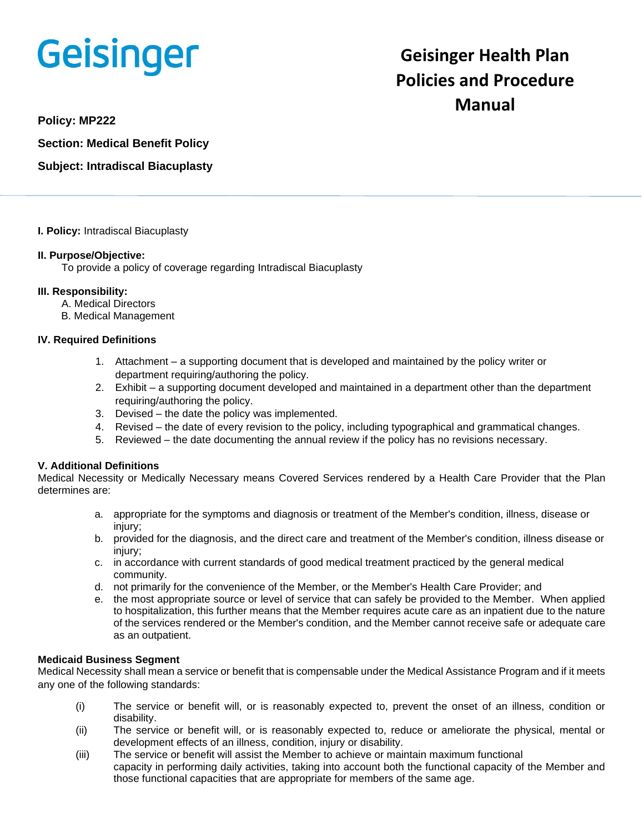# **Geisinger**

## **Geisinger Health Plan Policies and Procedure Manual**

**Policy: MP222**

**Section: Medical Benefit Policy**

### **Subject: Intradiscal Biacuplasty**

#### **I. Policy:** Intradiscal Biacuplasty

#### **II. Purpose/Objective:**

To provide a policy of coverage regarding Intradiscal Biacuplasty

#### **III. Responsibility:**

- A. Medical Directors
- B. Medical Management

#### **IV. Required Definitions**

- 1. Attachment a supporting document that is developed and maintained by the policy writer or department requiring/authoring the policy.
- 2. Exhibit a supporting document developed and maintained in a department other than the department requiring/authoring the policy.
- 3. Devised the date the policy was implemented.
- 4. Revised the date of every revision to the policy, including typographical and grammatical changes.
- 5. Reviewed the date documenting the annual review if the policy has no revisions necessary.

#### **V. Additional Definitions**

Medical Necessity or Medically Necessary means Covered Services rendered by a Health Care Provider that the Plan determines are:

- a. appropriate for the symptoms and diagnosis or treatment of the Member's condition, illness, disease or injury;
- b. provided for the diagnosis, and the direct care and treatment of the Member's condition, illness disease or injury;
- c. in accordance with current standards of good medical treatment practiced by the general medical community.
- d. not primarily for the convenience of the Member, or the Member's Health Care Provider; and
- e. the most appropriate source or level of service that can safely be provided to the Member. When applied to hospitalization, this further means that the Member requires acute care as an inpatient due to the nature of the services rendered or the Member's condition, and the Member cannot receive safe or adequate care as an outpatient.

#### **Medicaid Business Segment**

Medical Necessity shall mean a service or benefit that is compensable under the Medical Assistance Program and if it meets any one of the following standards:

- (i) The service or benefit will, or is reasonably expected to, prevent the onset of an illness, condition or disability.
- (ii) The service or benefit will, or is reasonably expected to, reduce or ameliorate the physical, mental or development effects of an illness, condition, injury or disability.
- (iii) The service or benefit will assist the Member to achieve or maintain maximum functional capacity in performing daily activities, taking into account both the functional capacity of the Member and those functional capacities that are appropriate for members of the same age.